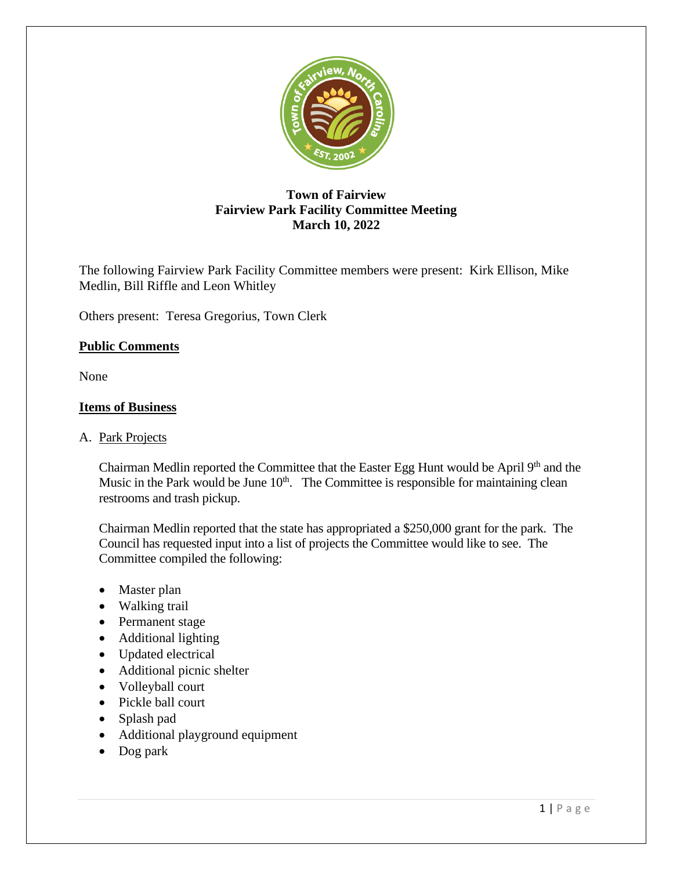

# **Town of Fairview Fairview Park Facility Committee Meeting March 10, 2022**

The following Fairview Park Facility Committee members were present: Kirk Ellison, Mike Medlin, Bill Riffle and Leon Whitley

Others present: Teresa Gregorius, Town Clerk

## **Public Comments**

None

#### **Items of Business**

#### A. Park Projects

Chairman Medlin reported the Committee that the Easter Egg Hunt would be April 9<sup>th</sup> and the Music in the Park would be June  $10<sup>th</sup>$ . The Committee is responsible for maintaining clean restrooms and trash pickup.

Chairman Medlin reported that the state has appropriated a \$250,000 grant for the park. The Council has requested input into a list of projects the Committee would like to see. The Committee compiled the following:

- Master plan
- Walking trail
- Permanent stage
- Additional lighting
- Updated electrical
- Additional picnic shelter
- Volleyball court
- Pickle ball court
- Splash pad
- Additional playground equipment
- Dog park